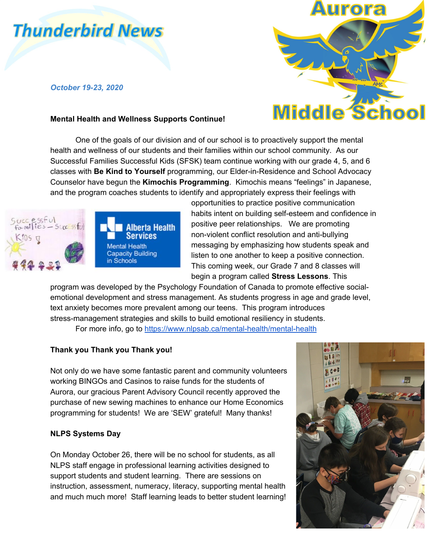# **Thunderbird News**

## *October 19-23, 2020*

#### **Mental Health and Wellness Supports Continue!**



One of the goals of our division and of our school is to proactively support the mental health and wellness of our students and their families within our school community. As our Successful Families Successful Kids (SFSK) team continue working with our grade 4, 5, and 6 classes with **Be Kind to Yourself** programming, our Elder-in-Residence and School Advocacy Counselor have begun the **Kimochis Programming**. Kimochis means "feelings" in Japanese, and the program coaches students to identify and appropriately express their feelings with





opportunities to practice positive communication habits intent on building self-esteem and confidence in positive peer relationships. We are promoting non-violent conflict resolution and anti-bullying messaging by emphasizing how students speak and listen to one another to keep a positive connection. This coming week, our Grade 7 and 8 classes will begin a program called **Stress Lessons**. This

program was developed by the Psychology Foundation of Canada to promote effective socialemotional development and stress management. As students progress in age and grade level, text anxiety becomes more prevalent among our teens. This program introduces stress-management strategies and skills to build emotional resiliency in students.

For more info, go to <https://www.nlpsab.ca/mental-health/mental-health>

# **Thank you Thank you Thank you!**

Not only do we have some fantastic parent and community volunteers working BINGOs and Casinos to raise funds for the students of Aurora, our gracious Parent Advisory Council recently approved the purchase of new sewing machines to enhance our Home Economics programming for students! We are 'SEW' grateful! Many thanks!

## **NLPS Systems Day**

On Monday October 26, there will be no school for students, as all NLPS staff engage in professional learning activities designed to support students and student learning. There are sessions on instruction, assessment, numeracy, literacy, supporting mental health and much much more! Staff learning leads to better student learning!

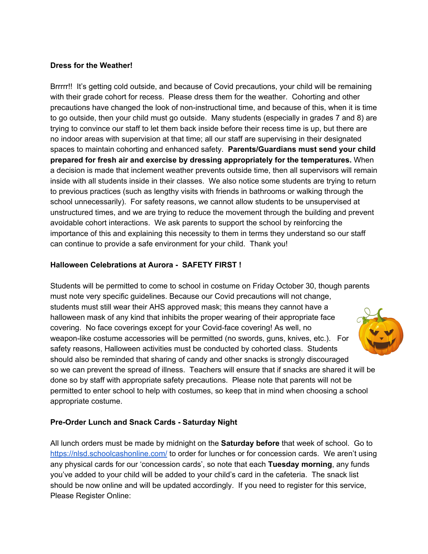#### **Dress for the Weather!**

Brrrrr!! It's getting cold outside, and because of Covid precautions, your child will be remaining with their grade cohort for recess. Please dress them for the weather. Cohorting and other precautions have changed the look of non-instructional time, and because of this, when it is time to go outside, then your child must go outside. Many students (especially in grades 7 and 8) are trying to convince our staff to let them back inside before their recess time is up, but there are no indoor areas with supervision at that time; all our staff are supervising in their designated spaces to maintain cohorting and enhanced safety. **Parents/Guardians must send your child prepared for fresh air and exercise by dressing appropriately for the temperatures.** When a decision is made that inclement weather prevents outside time, then all supervisors will remain inside with all students inside in their classes. We also notice some students are trying to return to previous practices (such as lengthy visits with friends in bathrooms or walking through the school unnecessarily). For safety reasons, we cannot allow students to be unsupervised at unstructured times, and we are trying to reduce the movement through the building and prevent avoidable cohort interactions. We ask parents to support the school by reinforcing the importance of this and explaining this necessity to them in terms they understand so our staff can continue to provide a safe environment for your child. Thank you!

## **Halloween Celebrations at Aurora - SAFETY FIRST !**

Students will be permitted to come to school in costume on Friday October 30, though parents must note very specific guidelines. Because our Covid precautions will not change, students must still wear their AHS approved mask; this means they cannot have a halloween mask of any kind that inhibits the proper wearing of their appropriate face covering. No face coverings except for your Covid-face covering! As well, no weapon-like costume accessories will be permitted (no swords, guns, knives, etc.). For safety reasons, Halloween activities must be conducted by cohorted class. Students should also be reminded that sharing of candy and other snacks is strongly discouraged so we can prevent the spread of illness. Teachers will ensure that if snacks are shared it will be done so by staff with appropriate safety precautions. Please note that parents will not be permitted to enter school to help with costumes, so keep that in mind when choosing a school appropriate costume.

# **Pre-Order Lunch and Snack Cards - Saturday Night**

All lunch orders must be made by midnight on the **Saturday before** that week of school. Go to <https://nlsd.schoolcashonline.com/> to order for lunches or for concession cards. We aren't using any physical cards for our 'concession cards', so note that each **Tuesday morning**, any funds you've added to your child will be added to your child's card in the cafeteria. The snack list should be now online and will be updated accordingly. If you need to register for this service, Please Register Online: